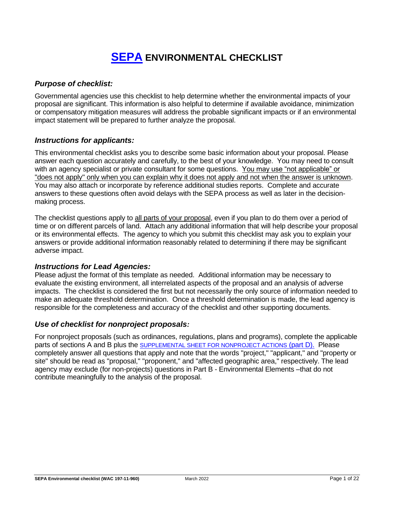# **[SEPA](https://ecology.wa.gov/Regulations-Permits/SEPA/Environmental-review/SEPA-guidance/Checklist-guidance) ENVIRONMENTAL CHECKLIST**

### *Purpose of checklist:*

Governmental agencies use this checklist to help determine whether the environmental impacts of your proposal are significant. This information is also helpful to determine if available avoidance, minimization or compensatory mitigation measures will address the probable significant impacts or if an environmental impact statement will be prepared to further analyze the proposal.

#### *Instructions for applicants:*

This environmental checklist asks you to describe some basic information about your proposal. Please answer each question accurately and carefully, to the best of your knowledge. You may need to consult with an agency specialist or private consultant for some questions. You may use "not applicable" or "does not apply" only when you can explain why it does not apply and not when the answer is unknown. You may also attach or incorporate by reference additional studies reports. Complete and accurate answers to these questions often avoid delays with the SEPA process as well as later in the decisionmaking process.

The checklist questions apply to all parts of your proposal, even if you plan to do them over a period of time or on different parcels of land. Attach any additional information that will help describe your proposal or its environmental effects. The agency to which you submit this checklist may ask you to explain your answers or provide additional information reasonably related to determining if there may be significant adverse impact.

#### *Instructions for Lead Agencies:*

Please adjust the format of this template as needed. Additional information may be necessary to evaluate the existing environment, all interrelated aspects of the proposal and an analysis of adverse impacts. The checklist is considered the first but not necessarily the only source of information needed to make an adequate threshold determination. Once a threshold determination is made, the lead agency is responsible for the completeness and accuracy of the checklist and other supporting documents.

#### *Use of checklist for nonproject proposals:*

For nonproject proposals (such as ordinances, regulations, plans and programs), complete the applicable parts of sections A and B plus the SUPPLEMENTAL SHEET FOR NONPROJECT ACTIONS (part D). Please completely answer all questions that apply and note that the words "project," "applicant," and "property or site" should be read as "proposal," "proponent," and "affected geographic area," respectively. The lead agency may exclude (for non-projects) questions in Part B - Environmental Elements –that do not contribute meaningfully to the analysis of the proposal.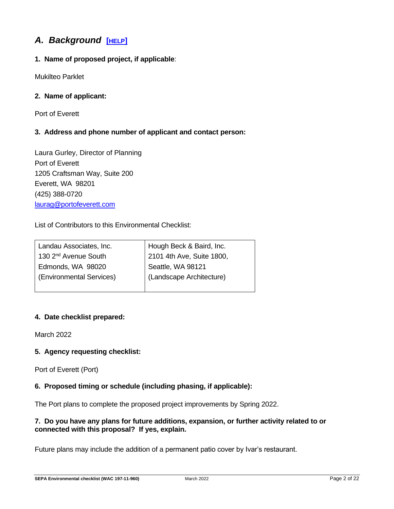## *A. Background* **[[HELP](https://ecology.wa.gov/Regulations-Permits/SEPA/Environmental-review/SEPA-guidance/SEPA-checklist-guidance/SEPA-Checklist-Section-A-Background)]**

## **1. Name of proposed project, if applicable**:

Mukilteo Parklet

## **2. Name of applicant:**

Port of Everett

## **3. Address and phone number of applicant and contact person:**

Laura Gurley, Director of Planning Port of Everett 1205 Craftsman Way, Suite 200 Everett, WA 98201 (425) 388-0720 [laurag@portofeverett.com](mailto:laurag@portofeverett.com)

List of Contributors to this Environmental Checklist:

| Landau Associates, Inc.          | Hough Beck & Baird, Inc.  |
|----------------------------------|---------------------------|
| 130 2 <sup>nd</sup> Avenue South | 2101 4th Ave, Suite 1800, |
| Edmonds, WA 98020                | Seattle, WA 98121         |
| (Environmental Services)         | (Landscape Architecture)  |
|                                  |                           |

## **4. Date checklist prepared:**

March 2022

## **5. Agency requesting checklist:**

Port of Everett (Port)

## **6. Proposed timing or schedule (including phasing, if applicable):**

The Port plans to complete the proposed project improvements by Spring 2022.

## **7. Do you have any plans for future additions, expansion, or further activity related to or connected with this proposal? If yes, explain.**

Future plans may include the addition of a permanent patio cover by Ivar's restaurant.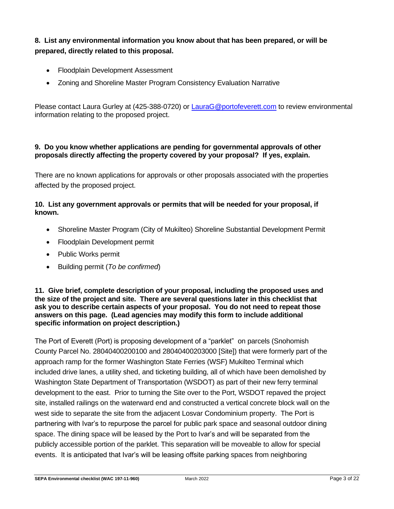**8. List any environmental information you know about that has been prepared, or will be prepared, directly related to this proposal.**

- Floodplain Development Assessment
- Zoning and Shoreline Master Program Consistency Evaluation Narrative

Please contact Laura Gurley at (425-388-0720) or [LauraG@portofeverett.com](mailto:LauraG@portofeverett.com) to review environmental information relating to the proposed project.

#### **9. Do you know whether applications are pending for governmental approvals of other proposals directly affecting the property covered by your proposal? If yes, explain.**

There are no known applications for approvals or other proposals associated with the properties affected by the proposed project.

#### **10. List any government approvals or permits that will be needed for your proposal, if known.**

- Shoreline Master Program (City of Mukilteo) Shoreline Substantial Development Permit
- Floodplain Development permit
- Public Works permit
- Building permit (*To be confirmed*)

#### **11. Give brief, complete description of your proposal, including the proposed uses and the size of the project and site. There are several questions later in this checklist that ask you to describe certain aspects of your proposal. You do not need to repeat those answers on this page. (Lead agencies may modify this form to include additional specific information on project description.)**

The Port of Everett (Port) is proposing development of a "parklet" on parcels (Snohomish County Parcel No. 28040400200100 and 28040400203000 [Site]) that were formerly part of the approach ramp for the former Washington State Ferries (WSF) Mukilteo Terminal which included drive lanes, a utility shed, and ticketing building, all of which have been demolished by Washington State Department of Transportation (WSDOT) as part of their new ferry terminal development to the east. Prior to turning the Site over to the Port, WSDOT repaved the project site, installed railings on the waterward end and constructed a vertical concrete block wall on the west side to separate the site from the adjacent Losvar Condominium property. The Port is partnering with Ivar's to repurpose the parcel for public park space and seasonal outdoor dining space. The dining space will be leased by the Port to Ivar's and will be separated from the publicly accessible portion of the parklet. This separation will be moveable to allow for special events. It is anticipated that Ivar's will be leasing offsite parking spaces from neighboring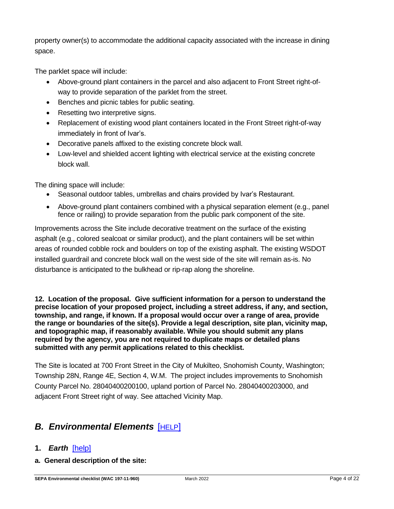property owner(s) to accommodate the additional capacity associated with the increase in dining space.

The parklet space will include:

- Above-ground plant containers in the parcel and also adjacent to Front Street right-ofway to provide separation of the parklet from the street.
- Benches and picnic tables for public seating.
- Resetting two interpretive signs.
- Replacement of existing wood plant containers located in the Front Street right-of-way immediately in front of Ivar's.
- Decorative panels affixed to the existing concrete block wall.
- Low-level and shielded accent lighting with electrical service at the existing concrete block wall.

The dining space will include:

- Seasonal outdoor tables, umbrellas and chairs provided by Ivar's Restaurant.
- Above-ground plant containers combined with a physical separation element (e.g., panel fence or railing) to provide separation from the public park component of the site.

Improvements across the Site include decorative treatment on the surface of the existing asphalt (e.g., colored sealcoat or similar product), and the plant containers will be set within areas of rounded cobble rock and boulders on top of the existing asphalt. The existing WSDOT installed guardrail and concrete block wall on the west side of the site will remain as-is. No disturbance is anticipated to the bulkhead or rip-rap along the shoreline.

**12. Location of the proposal. Give sufficient information for a person to understand the precise location of your proposed project, including a street address, if any, and section, township, and range, if known. If a proposal would occur over a range of area, provide the range or boundaries of the site(s). Provide a legal description, site plan, vicinity map, and topographic map, if reasonably available. While you should submit any plans required by the agency, you are not required to duplicate maps or detailed plans submitted with any permit applications related to this checklist.**

The Site is located at 700 Front Street in the City of Mukilteo, Snohomish County, Washington; Township 28N, Range 4E, Section 4, W.M. The project includes improvements to Snohomish County Parcel No. 28040400200100, upland portion of Parcel No. 28040400203000, and adjacent Front Street right of way. See attached Vicinity Map.

## *B. Environmental Elements* [[HELP](https://ecology.wa.gov/Regulations-Permits/SEPA/Environmental-review/SEPA-guidance/SEPA-checklist-guidance/SEPA-Checklist-Section-B-Environmental-elements)]

## **1.** *Earth*[\[help\]](https://ecology.wa.gov/Regulations-Permits/SEPA/Environmental-review/SEPA-guidance/SEPA-checklist-guidance/SEPA-Checklist-Section-B-Environmental-elements/Environmental-elements-Earth)

**a. General description of the site:**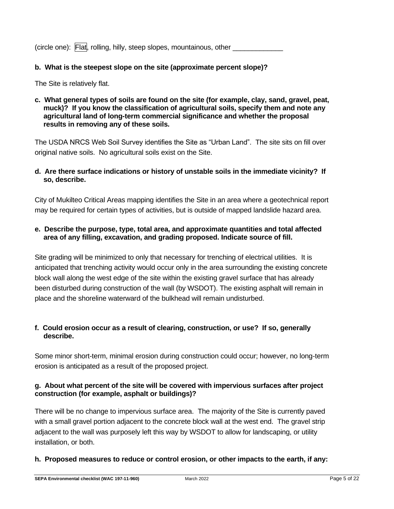|  | (circle one): Flat, rolling, hilly, steep slopes, mountainous, other |  |
|--|----------------------------------------------------------------------|--|
|--|----------------------------------------------------------------------|--|

#### **b. What is the steepest slope on the site (approximate percent slope)?**

The Site is relatively flat.

#### **c. What general types of soils are found on the site (for example, clay, sand, gravel, peat, muck)? If you know the classification of agricultural soils, specify them and note any agricultural land of long-term commercial significance and whether the proposal results in removing any of these soils.**

The USDA NRCS Web Soil Survey identifies the Site as "Urban Land". The site sits on fill over original native soils. No agricultural soils exist on the Site.

#### **d. Are there surface indications or history of unstable soils in the immediate vicinity? If so, describe.**

City of Mukilteo Critical Areas mapping identifies the Site in an area where a geotechnical report may be required for certain types of activities, but is outside of mapped landslide hazard area.

#### **e. Describe the purpose, type, total area, and approximate quantities and total affected area of any filling, excavation, and grading proposed. Indicate source of fill.**

Site grading will be minimized to only that necessary for trenching of electrical utilities. It is anticipated that trenching activity would occur only in the area surrounding the existing concrete block wall along the west edge of the site within the existing gravel surface that has already been disturbed during construction of the wall (by WSDOT). The existing asphalt will remain in place and the shoreline waterward of the bulkhead will remain undisturbed.

#### **f. Could erosion occur as a result of clearing, construction, or use? If so, generally describe.**

Some minor short-term, minimal erosion during construction could occur; however, no long-term erosion is anticipated as a result of the proposed project.

#### **g. About what percent of the site will be covered with impervious surfaces after project construction (for example, asphalt or buildings)?**

There will be no change to impervious surface area. The majority of the Site is currently paved with a small gravel portion adjacent to the concrete block wall at the west end. The gravel strip adjacent to the wall was purposely left this way by WSDOT to allow for landscaping, or utility installation, or both.

#### **h. Proposed measures to reduce or control erosion, or other impacts to the earth, if any:**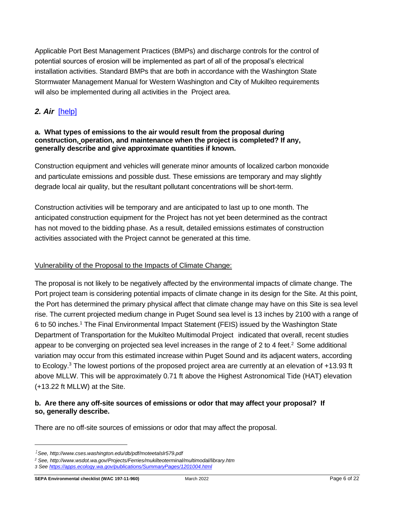Applicable Port Best Management Practices (BMPs) and discharge controls for the control of potential sources of erosion will be implemented as part of all of the proposal's electrical installation activities. Standard BMPs that are both in accordance with the Washington State Stormwater Management Manual for Western Washington and City of Mukilteo requirements will also be implemented during all activities in the Project area.

## *2. Air*[\[help\]](https://ecology.wa.gov/Regulations-Permits/SEPA/Environmental-review/SEPA-guidance/SEPA-checklist-guidance/SEPA-Checklist-Section-B-Environmental-elements/Environmental-elements-Air)

#### **a. What types of emissions to the air would result from the proposal during construction, operation, and maintenance when the project is completed? If any, generally describe and give approximate quantities if known.**

Construction equipment and vehicles will generate minor amounts of localized carbon monoxide and particulate emissions and possible dust. These emissions are temporary and may slightly degrade local air quality, but the resultant pollutant concentrations will be short-term.

Construction activities will be temporary and are anticipated to last up to one month. The anticipated construction equipment for the Project has not yet been determined as the contract has not moved to the bidding phase. As a result, detailed emissions estimates of construction activities associated with the Project cannot be generated at this time.

#### Vulnerability of the Proposal to the Impacts of Climate Change:

The proposal is not likely to be negatively affected by the environmental impacts of climate change. The Port project team is considering potential impacts of climate change in its design for the Site. At this point, the Port has determined the primary physical affect that climate change may have on this Site is sea level rise. The current projected medium change in Puget Sound sea level is 13 inches by 2100 with a range of 6 to 50 inches. <sup>1</sup> The Final Environmental Impact Statement (FEIS) issued by the Washington State Department of Transportation for the Mukilteo Multimodal Project indicated that overall, recent studies appear to be converging on projected sea level increases in the range of 2 to 4 feet. $<sup>2</sup>$  Some additional</sup> variation may occur from this estimated increase within Puget Sound and its adjacent waters, according to Ecology.<sup>3</sup> The lowest portions of the proposed project area are currently at an elevation of +13.93 ft above MLLW. This will be approximately 0.71 ft above the Highest Astronomical Tide (HAT) elevation (+13.22 ft MLLW) at the Site.

#### **b. Are there any off-site sources of emissions or odor that may affect your proposal? If so, generally describe.**

There are no off-site sources of emissions or odor that may affect the proposal.

*<sup>1</sup>See, http://www.cses.washington.edu/db/pdf/moteetalslr579.pdf*

*<sup>2</sup> See, http://www.wsdot.wa.gov/Projects/Ferries/mukilteoterminal/multimodal/library.htm*

*<sup>3</sup> Se[e https://apps.ecology.wa.gov/publications/SummaryPages/1201004.html](https://apps.ecology.wa.gov/publications/SummaryPages/1201004.html)*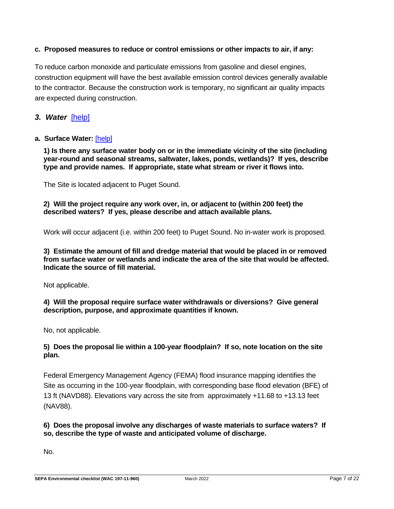#### **c. Proposed measures to reduce or control emissions or other impacts to air, if any:**

To reduce carbon monoxide and particulate emissions from gasoline and diesel engines, construction equipment will have the best available emission control devices generally available to the contractor. Because the construction work is temporary, no significant air quality impacts are expected during construction.

#### *3. Water*[\[help\]](https://ecology.wa.gov/Regulations-Permits/SEPA/Environmental-review/SEPA-guidance/SEPA-checklist-guidance/SEPA-Checklist-Section-B-Environmental-elements/Environmental-elements-3-Water)

#### **a. Surface Water:** [\[help\]](https://ecology.wa.gov/Regulations-Permits/SEPA/Environmental-review/SEPA-guidance/SEPA-checklist-guidance/SEPA-Checklist-Section-B-Environmental-elements/Environmental-elements-3-Water/Environmental-elements-Surface-water)

**1) Is there any surface water body on or in the immediate vicinity of the site (including year-round and seasonal streams, saltwater, lakes, ponds, wetlands)? If yes, describe type and provide names. If appropriate, state what stream or river it flows into.**

The Site is located adjacent to Puget Sound.

**2) Will the project require any work over, in, or adjacent to (within 200 feet) the described waters? If yes, please describe and attach available plans.**

Work will occur adjacent (i.e. within 200 feet) to Puget Sound. No in-water work is proposed.

**3) Estimate the amount of fill and dredge material that would be placed in or removed from surface water or wetlands and indicate the area of the site that would be affected. Indicate the source of fill material.**

Not applicable.

**4) Will the proposal require surface water withdrawals or diversions? Give general description, purpose, and approximate quantities if known.**

No, not applicable.

#### **5) Does the proposal lie within a 100-year floodplain? If so, note location on the site plan.**

Federal Emergency Management Agency (FEMA) flood insurance mapping identifies the Site as occurring in the 100-year floodplain, with corresponding base flood elevation (BFE) of 13 ft (NAVD88). Elevations vary across the site from approximately +11.68 to +13.13 feet (NAV88).

#### **6) Does the proposal involve any discharges of waste materials to surface waters? If so, describe the type of waste and anticipated volume of discharge.**

No.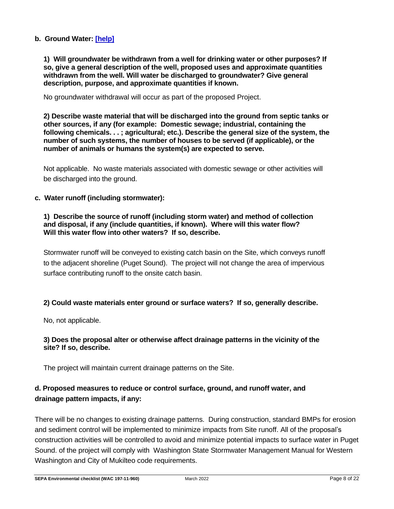#### **b. Ground Water: [\[help\]](https://ecology.wa.gov/Regulations-Permits/SEPA/Environmental-review/SEPA-guidance/SEPA-checklist-guidance/SEPA-Checklist-Section-B-Environmental-elements/Environmental-elements-3-Water/Environmental-elements-Groundwater)**

**1) Will groundwater be withdrawn from a well for drinking water or other purposes? If so, give a general description of the well, proposed uses and approximate quantities withdrawn from the well. Will water be discharged to groundwater? Give general description, purpose, and approximate quantities if known.**

No groundwater withdrawal will occur as part of the proposed Project.

**2) Describe waste material that will be discharged into the ground from septic tanks or other sources, if any (for example: Domestic sewage; industrial, containing the following chemicals. . . ; agricultural; etc.). Describe the general size of the system, the number of such systems, the number of houses to be served (if applicable), or the number of animals or humans the system(s) are expected to serve.**

Not applicable. No waste materials associated with domestic sewage or other activities will be discharged into the ground.

#### **c. Water runoff (including stormwater):**

#### **1) Describe the source of runoff (including storm water) and method of collection and disposal, if any (include quantities, if known). Where will this water flow? Will this water flow into other waters? If so, describe.**

Stormwater runoff will be conveyed to existing catch basin on the Site, which conveys runoff to the adjacent shoreline (Puget Sound). The project will not change the area of impervious surface contributing runoff to the onsite catch basin.

#### **2) Could waste materials enter ground or surface waters? If so, generally describe.**

No, not applicable.

#### **3) Does the proposal alter or otherwise affect drainage patterns in the vicinity of the site? If so, describe.**

The project will maintain current drainage patterns on the Site.

## **d. Proposed measures to reduce or control surface, ground, and runoff water, and drainage pattern impacts, if any:**

There will be no changes to existing drainage patterns. During construction, standard BMPs for erosion and sediment control will be implemented to minimize impacts from Site runoff. All of the proposal's construction activities will be controlled to avoid and minimize potential impacts to surface water in Puget Sound. of the project will comply with Washington State Stormwater Management Manual for Western Washington and City of Mukilteo code requirements.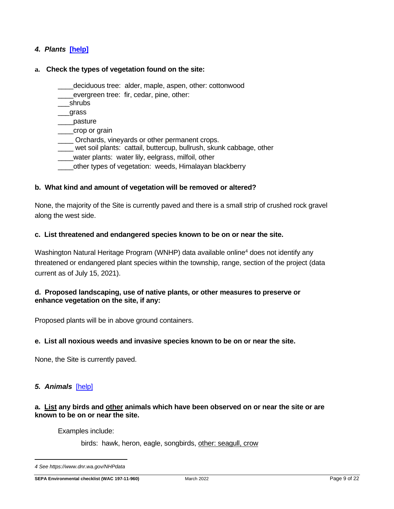#### *4. Plants* **[\[help\]](https://ecology.wa.gov/Regulations-Permits/SEPA/Environmental-review/SEPA-guidance/SEPA-checklist-guidance/SEPA-Checklist-Section-B-Environmental-elements/Environmental-elements-4-Plants)**

#### **a. Check the types of vegetation found on the site:**

- \_\_\_\_deciduous tree: alder, maple, aspen, other: cottonwood
- evergreen tree: fir, cedar, pine, other:
- \_\_\_shrubs

\_\_\_grass

- \_\_\_\_pasture
- \_\_\_\_crop or grain
- \_\_\_\_ Orchards, vineyards or other permanent crops.
- \_\_\_\_ wet soil plants: cattail, buttercup, bullrush, skunk cabbage, other
- water plants: water lily, eelgrass, milfoil, other
- \_\_\_\_other types of vegetation: weeds, Himalayan blackberry

#### **b. What kind and amount of vegetation will be removed or altered?**

None, the majority of the Site is currently paved and there is a small strip of crushed rock gravel along the west side.

#### **c. List threatened and endangered species known to be on or near the site.**

Washington Natural Heritage Program (WNHP) data available online<sup>4</sup> does not identify any threatened or endangered plant species within the township, range, section of the project (data current as of July 15, 2021).

#### **d. Proposed landscaping, use of native plants, or other measures to preserve or enhance vegetation on the site, if any:**

Proposed plants will be in above ground containers.

#### **e. List all noxious weeds and invasive species known to be on or near the site.**

None, the Site is currently paved.

#### *5. Animals*[\[help\]](https://ecology.wa.gov/Regulations-Permits/SEPA/Environmental-review/SEPA-guidance/SEPA-checklist-guidance/SEPA-Checklist-Section-B-Environmental-elements/Environmental-elements-5-Animals)

#### **a. List any birds and other animals which have been observed on or near the site or are known to be on or near the site.**

Examples include:

birds: hawk, heron, eagle, songbirds, other: seagull, crow

*<sup>4</sup> Se[e https://www.dnr.wa.gov/NHPdata](https://www.dnr.wa.gov/NHPdata)*

**SEPA Environmental checklist (WAC 197-11-960)** March 2022 Page 9 of 22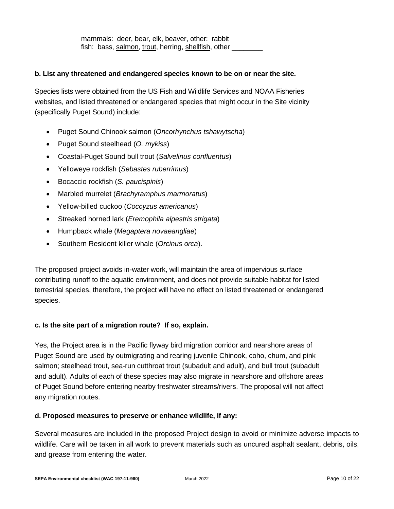mammals: deer, bear, elk, beaver, other: rabbit fish: bass, salmon, trout, herring, shellfish, other

#### **b. List any threatened and endangered species known to be on or near the site.**

Species lists were obtained from the US Fish and Wildlife Services and NOAA Fisheries websites, and listed threatened or endangered species that might occur in the Site vicinity (specifically Puget Sound) include:

- Puget Sound Chinook salmon (*Oncorhynchus tshawytscha*)
- Puget Sound steelhead (*O. mykiss*)
- Coastal-Puget Sound bull trout (*Salvelinus confluentus*)
- Yelloweye rockfish (*Sebastes ruberrimus*)
- Bocaccio rockfish (*S. paucispinis*)
- Marbled murrelet (*Brachyramphus marmoratus*)
- Yellow-billed cuckoo (*Coccyzus americanus*)
- Streaked horned lark (*Eremophila alpestris strigata*)
- Humpback whale (*Megaptera novaeangliae*)
- Southern Resident killer whale (*Orcinus orca*).

The proposed project avoids in-water work, will maintain the area of impervious surface contributing runoff to the aquatic environment, and does not provide suitable habitat for listed terrestrial species, therefore, the project will have no effect on listed threatened or endangered species.

#### **c. Is the site part of a migration route? If so, explain.**

Yes, the Project area is in the Pacific flyway bird migration corridor and nearshore areas of Puget Sound are used by outmigrating and rearing juvenile Chinook, coho, chum, and pink salmon; steelhead trout, sea-run cutthroat trout (subadult and adult), and bull trout (subadult and adult). Adults of each of these species may also migrate in nearshore and offshore areas of Puget Sound before entering nearby freshwater streams/rivers. The proposal will not affect any migration routes.

#### **d. Proposed measures to preserve or enhance wildlife, if any:**

Several measures are included in the proposed Project design to avoid or minimize adverse impacts to wildlife. Care will be taken in all work to prevent materials such as uncured asphalt sealant, debris, oils, and grease from entering the water.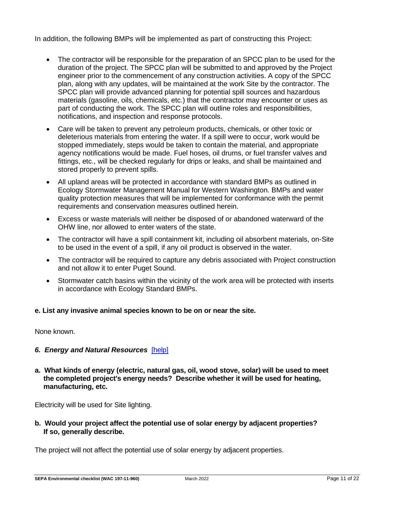In addition, the following BMPs will be implemented as part of constructing this Project:

- The contractor will be responsible for the preparation of an SPCC plan to be used for the duration of the project. The SPCC plan will be submitted to and approved by the Project engineer prior to the commencement of any construction activities. A copy of the SPCC plan, along with any updates, will be maintained at the work Site by the contractor. The SPCC plan will provide advanced planning for potential spill sources and hazardous materials (gasoline, oils, chemicals, etc.) that the contractor may encounter or uses as part of conducting the work. The SPCC plan will outline roles and responsibilities, notifications, and inspection and response protocols.
- Care will be taken to prevent any petroleum products, chemicals, or other toxic or deleterious materials from entering the water. If a spill were to occur, work would be stopped immediately, steps would be taken to contain the material, and appropriate agency notifications would be made. Fuel hoses, oil drums, or fuel transfer valves and fittings, etc., will be checked regularly for drips or leaks, and shall be maintained and stored properly to prevent spills.
- All upland areas will be protected in accordance with standard BMPs as outlined in Ecology Stormwater Management Manual for Western Washington. BMPs and water quality protection measures that will be implemented for conformance with the permit requirements and conservation measures outlined herein.
- Excess or waste materials will neither be disposed of or abandoned waterward of the OHW line, nor allowed to enter waters of the state.
- The contractor will have a spill containment kit, including oil absorbent materials, on-Site to be used in the event of a spill, if any oil product is observed in the water.
- The contractor will be required to capture any debris associated with Project construction and not allow it to enter Puget Sound.
- Stormwater catch basins within the vicinity of the work area will be protected with inserts in accordance with Ecology Standard BMPs.

#### **e. List any invasive animal species known to be on or near the site.**

None known.

#### *6. Energy and Natural Resources*[\[help\]](https://ecology.wa.gov/Regulations-Permits/SEPA/Environmental-review/SEPA-guidance/SEPA-checklist-guidance/SEPA-Checklist-Section-B-Environmental-elements/Environmental-elements-6-Energy-natural-resou)

**a. What kinds of energy (electric, natural gas, oil, wood stove, solar) will be used to meet the completed project's energy needs? Describe whether it will be used for heating, manufacturing, etc.**

Electricity will be used for Site lighting.

**b. Would your project affect the potential use of solar energy by adjacent properties? If so, generally describe.**

The project will not affect the potential use of solar energy by adjacent properties.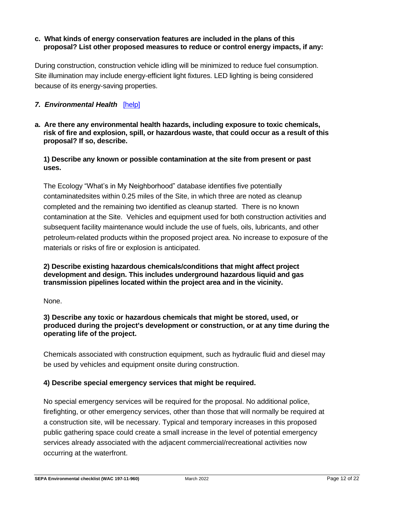#### **c. What kinds of energy conservation features are included in the plans of this proposal? List other proposed measures to reduce or control energy impacts, if any:**

During construction, construction vehicle idling will be minimized to reduce fuel consumption. Site illumination may include energy-efficient light fixtures. LED lighting is being considered because of its energy-saving properties.

#### *7. Environmental Health*[\[help\]](https://ecology.wa.gov/Regulations-Permits/SEPA/Environmental-review/SEPA-guidance/SEPA-checklist-guidance/SEPA-Checklist-Section-B-Environmental-elements/Environmental-elements-7-Environmental-health)

**a. Are there any environmental health hazards, including exposure to toxic chemicals, risk of fire and explosion, spill, or hazardous waste, that could occur as a result of this proposal? If so, describe.**

#### **1) Describe any known or possible contamination at the site from present or past uses.**

The Ecology "What's in My Neighborhood" database identifies five potentially contaminatedsites within 0.25 miles of the Site, in which three are noted as cleanup completed and the remaining two identified as cleanup started. There is no known contamination at the Site. Vehicles and equipment used for both construction activities and subsequent facility maintenance would include the use of fuels, oils, lubricants, and other petroleum-related products within the proposed project area. No increase to exposure of the materials or risks of fire or explosion is anticipated.

#### **2) Describe existing hazardous chemicals/conditions that might affect project development and design. This includes underground hazardous liquid and gas transmission pipelines located within the project area and in the vicinity.**

None.

**3) Describe any toxic or hazardous chemicals that might be stored, used, or produced during the project's development or construction, or at any time during the operating life of the project.**

Chemicals associated with construction equipment, such as hydraulic fluid and diesel may be used by vehicles and equipment onsite during construction.

#### **4) Describe special emergency services that might be required.**

No special emergency services will be required for the proposal. No additional police, firefighting, or other emergency services, other than those that will normally be required at a construction site, will be necessary. Typical and temporary increases in this proposed public gathering space could create a small increase in the level of potential emergency services already associated with the adjacent commercial/recreational activities now occurring at the waterfront.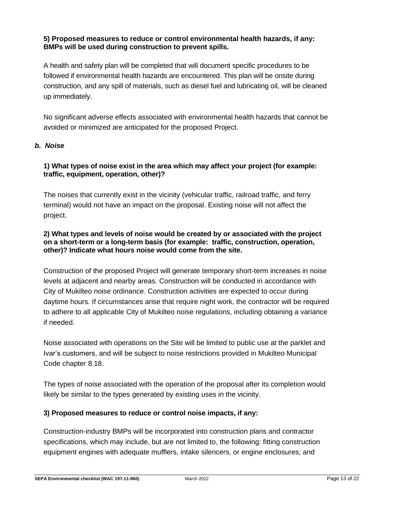#### **5) Proposed measures to reduce or control environmental health hazards, if any: BMPs will be used during construction to prevent spills.**

A health and safety plan will be completed that will document specific procedures to be followed if environmental health hazards are encountered. This plan will be onsite during construction, and any spill of materials, such as diesel fuel and lubricating oil, will be cleaned up immediately.

No significant adverse effects associated with environmental health hazards that cannot be avoided or minimized are anticipated for the proposed Project.

#### *b. Noise*

#### **1) What types of noise exist in the area which may affect your project (for example: traffic, equipment, operation, other)?**

The noises that currently exist in the vicinity (vehicular traffic, railroad traffic, and ferry terminal) would not have an impact on the proposal. Existing noise will not affect the project.

#### **2) What types and levels of noise would be created by or associated with the project on a short-term or a long-term basis (for example: traffic, construction, operation, other)? Indicate what hours noise would come from the site.**

Construction of the proposed Project will generate temporary short-term increases in noise levels at adjacent and nearby areas. Construction will be conducted in accordance with City of Mukilteo noise ordinance. Construction activities are expected to occur during daytime hours. If circumstances arise that require night work, the contractor will be required to adhere to all applicable City of Mukilteo noise regulations, including obtaining a variance if needed.

Noise associated with operations on the Site will be limited to public use at the parklet and Ivar's customers, and will be subject to noise restrictions provided in Mukilteo Municipal Code chapter 8.18.

The types of noise associated with the operation of the proposal after its completion would likely be similar to the types generated by existing uses in the vicinity.

## **3) Proposed measures to reduce or control noise impacts, if any:**

Construction-industry BMPs will be incorporated into construction plans and contractor specifications, which may include, but are not limited to, the following: fitting construction equipment engines with adequate mufflers, intake silencers, or engine enclosures; and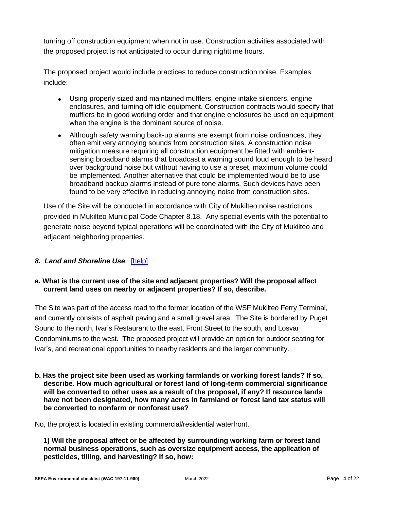turning off construction equipment when not in use. Construction activities associated with the proposed project is not anticipated to occur during nighttime hours.

The proposed project would include practices to reduce construction noise. Examples include:

- Using properly sized and maintained mufflers, engine intake silencers, engine enclosures, and turning off idle equipment. Construction contracts would specify that mufflers be in good working order and that engine enclosures be used on equipment when the engine is the dominant source of noise.
- Although safety warning back-up alarms are exempt from noise ordinances, they often emit very annoying sounds from construction sites. A construction noise mitigation measure requiring all construction equipment be fitted with ambientsensing broadband alarms that broadcast a warning sound loud enough to be heard over background noise but without having to use a preset, maximum volume could be implemented. Another alternative that could be implemented would be to use broadband backup alarms instead of pure tone alarms. Such devices have been found to be very effective in reducing annoying noise from construction sites.

Use of the Site will be conducted in accordance with City of Mukilteo noise restrictions provided in Mukilteo Municipal Code Chapter 8.18. Any special events with the potential to generate noise beyond typical operations will be coordinated with the City of Mukilteo and adjacent neighboring properties.

## *8. Land and Shoreline Use*[\[help\]](https://ecology.wa.gov/Regulations-Permits/SEPA/Environmental-review/SEPA-guidance/SEPA-checklist-guidance/SEPA-Checklist-Section-B-Environmental-elements/Environmental-elements-8-Land-shoreline-use)

#### **a. What is the current use of the site and adjacent properties? Will the proposal affect current land uses on nearby or adjacent properties? If so, describe.**

The Site was part of the access road to the former location of the WSF Mukilteo Ferry Terminal, and currently consists of asphalt paving and a small gravel area. The Site is bordered by Puget Sound to the north, Ivar's Restaurant to the east, Front Street to the south, and Losvar Condominiums to the west. The proposed project will provide an option for outdoor seating for Ivar's, and recreational opportunities to nearby residents and the larger community.

**b. Has the project site been used as working farmlands or working forest lands? If so, describe. How much agricultural or forest land of long-term commercial significance will be converted to other uses as a result of the proposal, if any? If resource lands have not been designated, how many acres in farmland or forest land tax status will be converted to nonfarm or nonforest use?**

No, the project is located in existing commercial/residential waterfront.

**1) Will the proposal affect or be affected by surrounding working farm or forest land normal business operations, such as oversize equipment access, the application of pesticides, tilling, and harvesting? If so, how:**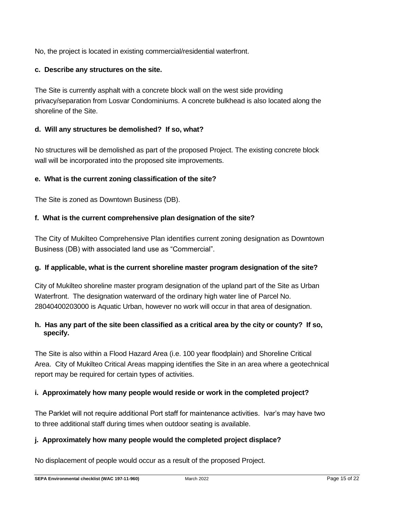No, the project is located in existing commercial/residential waterfront.

#### **c. Describe any structures on the site.**

The Site is currently asphalt with a concrete block wall on the west side providing privacy/separation from Losvar Condominiums. A concrete bulkhead is also located along the shoreline of the Site.

#### **d. Will any structures be demolished? If so, what?**

No structures will be demolished as part of the proposed Project. The existing concrete block wall will be incorporated into the proposed site improvements.

#### **e. What is the current zoning classification of the site?**

The Site is zoned as Downtown Business (DB).

#### **f. What is the current comprehensive plan designation of the site?**

The City of Mukilteo Comprehensive Plan identifies current zoning designation as Downtown Business (DB) with associated land use as "Commercial".

#### **g. If applicable, what is the current shoreline master program designation of the site?**

City of Mukilteo shoreline master program designation of the upland part of the Site as Urban Waterfront. The designation waterward of the ordinary high water line of Parcel No. 28040400203000 is Aquatic Urban, however no work will occur in that area of designation.

#### **h. Has any part of the site been classified as a critical area by the city or county? If so, specify.**

The Site is also within a Flood Hazard Area (i.e. 100 year floodplain) and Shoreline Critical Area. City of Mukilteo Critical Areas mapping identifies the Site in an area where a geotechnical report may be required for certain types of activities.

#### **i. Approximately how many people would reside or work in the completed project?**

The Parklet will not require additional Port staff for maintenance activities. Ivar's may have two to three additional staff during times when outdoor seating is available.

#### **j. Approximately how many people would the completed project displace?**

No displacement of people would occur as a result of the proposed Project.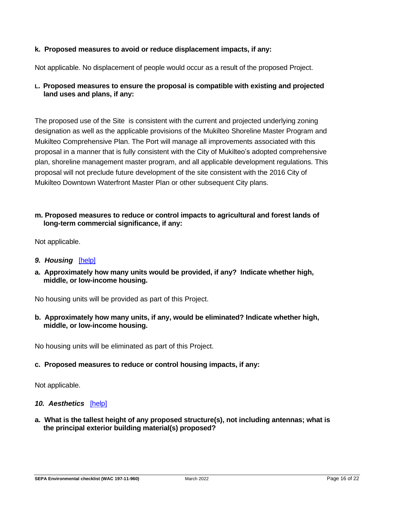#### **k. Proposed measures to avoid or reduce displacement impacts, if any:**

Not applicable. No displacement of people would occur as a result of the proposed Project.

#### **L. Proposed measures to ensure the proposal is compatible with existing and projected land uses and plans, if any:**

The proposed use of the Site is consistent with the current and projected underlying zoning designation as well as the applicable provisions of the Mukilteo Shoreline Master Program and Mukilteo Comprehensive Plan. The Port will manage all improvements associated with this proposal in a manner that is fully consistent with the City of Mukilteo's adopted comprehensive plan, shoreline management master program, and all applicable development regulations. This proposal will not preclude future development of the site consistent with the 2016 City of Mukilteo Downtown Waterfront Master Plan or other subsequent City plans.

#### **m. Proposed measures to reduce or control impacts to agricultural and forest lands of long-term commercial significance, if any:**

Not applicable.

- *9. Housing*[\[help\]](https://ecology.wa.gov/Regulations-Permits/SEPA/Environmental-review/SEPA-guidance/SEPA-checklist-guidance/SEPA-Checklist-Section-B-Environmental-elements/Environmental-elements-9-Housing)
- **a. Approximately how many units would be provided, if any? Indicate whether high, middle, or low-income housing.**

No housing units will be provided as part of this Project.

**b. Approximately how many units, if any, would be eliminated? Indicate whether high, middle, or low-income housing.**

No housing units will be eliminated as part of this Project.

#### **c. Proposed measures to reduce or control housing impacts, if any:**

Not applicable.

#### 10. Aesthetics [\[help\]](https://ecology.wa.gov/Regulations-Permits/SEPA/Environmental-review/SEPA-guidance/SEPA-checklist-guidance/SEPA-Checklist-Section-B-Environmental-elements/Environmental-elements-10-Aesthetics)

**a. What is the tallest height of any proposed structure(s), not including antennas; what is the principal exterior building material(s) proposed?**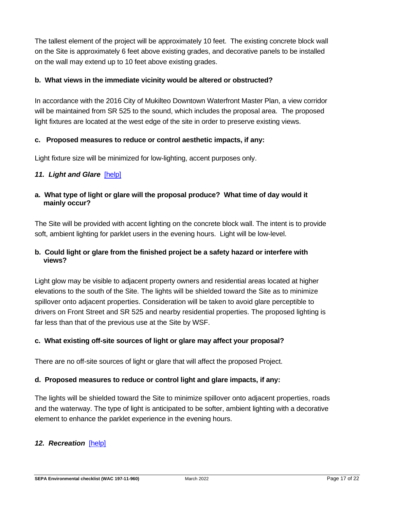The tallest element of the project will be approximately 10 feet. The existing concrete block wall on the Site is approximately 6 feet above existing grades, and decorative panels to be installed on the wall may extend up to 10 feet above existing grades.

#### **b. What views in the immediate vicinity would be altered or obstructed?**

In accordance with the 2016 City of Mukilteo Downtown Waterfront Master Plan, a view corridor will be maintained from SR 525 to the sound, which includes the proposal area. The proposed light fixtures are located at the west edge of the site in order to preserve existing views.

#### **c. Proposed measures to reduce or control aesthetic impacts, if any:**

Light fixture size will be minimized for low-lighting, accent purposes only.

#### *11. Light and Glare*[\[help\]](https://ecology.wa.gov/Regulations-Permits/SEPA/Environmental-review/SEPA-guidance/SEPA-checklist-guidance/SEPA-Checklist-Section-B-Environmental-elements/Environmental-elements-11-Light-glare)

**a. What type of light or glare will the proposal produce? What time of day would it mainly occur?**

The Site will be provided with accent lighting on the concrete block wall. The intent is to provide soft, ambient lighting for parklet users in the evening hours. Light will be low-level.

#### **b. Could light or glare from the finished project be a safety hazard or interfere with views?**

Light glow may be visible to adjacent property owners and residential areas located at higher elevations to the south of the Site. The lights will be shielded toward the Site as to minimize spillover onto adjacent properties. Consideration will be taken to avoid glare perceptible to drivers on Front Street and SR 525 and nearby residential properties. The proposed lighting is far less than that of the previous use at the Site by WSF.

#### **c. What existing off-site sources of light or glare may affect your proposal?**

There are no off-site sources of light or glare that will affect the proposed Project.

#### **d. Proposed measures to reduce or control light and glare impacts, if any:**

The lights will be shielded toward the Site to minimize spillover onto adjacent properties, roads and the waterway. The type of light is anticipated to be softer, ambient lighting with a decorative element to enhance the parklet experience in the evening hours.

#### 12. Recreation [\[help\]](https://ecology.wa.gov/Regulations-Permits/SEPA/Environmental-review/SEPA-guidance/SEPA-checklist-guidance/SEPA-Checklist-Section-B-Environmental-elements/Environmental-elements-12-Recreation)

**SEPA Environmental checklist (WAC 197-11-960)** March 2022 Page 17 of 22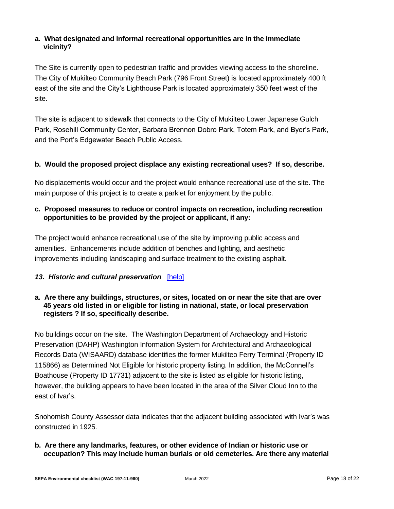### **a. What designated and informal recreational opportunities are in the immediate vicinity?**

The Site is currently open to pedestrian traffic and provides viewing access to the shoreline. The City of Mukilteo Community Beach Park (796 Front Street) is located approximately 400 ft east of the site and the City's Lighthouse Park is located approximately 350 feet west of the site.

The site is adjacent to sidewalk that connects to the City of Mukilteo Lower Japanese Gulch Park, Rosehill Community Center, Barbara Brennon Dobro Park, Totem Park, and Byer's Park, and the Port's Edgewater Beach Public Access.

#### **b. Would the proposed project displace any existing recreational uses? If so, describe.**

No displacements would occur and the project would enhance recreational use of the site. The main purpose of this project is to create a parklet for enjoyment by the public.

#### **c. Proposed measures to reduce or control impacts on recreation, including recreation opportunities to be provided by the project or applicant, if any:**

The project would enhance recreational use of the site by improving public access and amenities. Enhancements include addition of benches and lighting, and aesthetic improvements including landscaping and surface treatment to the existing asphalt.

## *13. Historic and cultural preservation*[\[help\]](https://ecology.wa.gov/Regulations-Permits/SEPA/Environmental-review/SEPA-guidance/SEPA-checklist-guidance/SEPA-Checklist-Section-B-Environmental-elements/Environmental-elements-13-Historic-cultural-p)

#### **a. Are there any buildings, structures, or sites, located on or near the site that are over 45 years old listed in or eligible for listing in national, state, or local preservation registers ? If so, specifically describe.**

No buildings occur on the site. The Washington Department of Archaeology and Historic Preservation (DAHP) Washington Information System for Architectural and Archaeological Records Data (WISAARD) database identifies the former Mukilteo Ferry Terminal (Property ID 115866) as Determined Not Eligible for historic property listing. In addition, the McConnell's Boathouse (Property ID 17731) adjacent to the site is listed as eligible for historic listing, however, the building appears to have been located in the area of the Silver Cloud Inn to the east of Ivar's.

Snohomish County Assessor data indicates that the adjacent building associated with Ivar's was constructed in 1925.

**b. Are there any landmarks, features, or other evidence of Indian or historic use or occupation? This may include human burials or old cemeteries. Are there any material**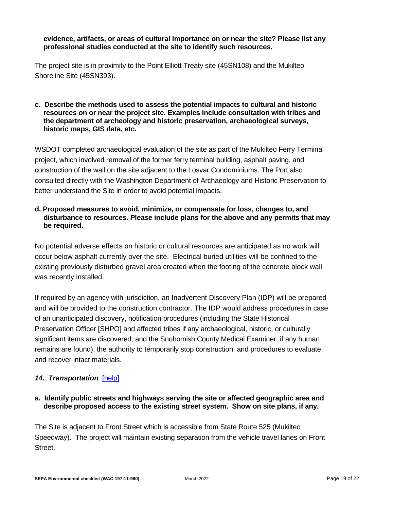#### **evidence, artifacts, or areas of cultural importance on or near the site? Please list any professional studies conducted at the site to identify such resources.**

The project site is in proximity to the Point Elliott Treaty site (45SN108) and the Mukilteo Shoreline Site (45SN393).

#### **c. Describe the methods used to assess the potential impacts to cultural and historic resources on or near the project site. Examples include consultation with tribes and the department of archeology and historic preservation, archaeological surveys, historic maps, GIS data, etc.**

WSDOT completed archaeological evaluation of the site as part of the Mukilteo Ferry Terminal project, which involved removal of the former ferry terminal building, asphalt paving, and construction of the wall on the site adjacent to the Losvar Condominiums. The Port also consulted directly with the Washington Department of Archaeology and Historic Preservation to better understand the Site in order to avoid potential impacts.

#### **d. Proposed measures to avoid, minimize, or compensate for loss, changes to, and disturbance to resources. Please include plans for the above and any permits that may be required.**

No potential adverse effects on historic or cultural resources are anticipated as no work will occur below asphalt currently over the site. Electrical buried utilities will be confined to the existing previously disturbed gravel area created when the footing of the concrete block wall was recently installed.

If required by an agency with jurisdiction, an Inadvertent Discovery Plan (IDP) will be prepared and will be provided to the construction contractor. The IDP would address procedures in case of an unanticipated discovery, notification procedures (including the State Historical Preservation Officer [SHPO] and affected tribes if any archaeological, historic, or culturally significant items are discovered; and the Snohomish County Medical Examiner, if any human remains are found), the authority to temporarily stop construction, and procedures to evaluate and recover intact materials.

## *14. Transportation*[\[help\]](https://ecology.wa.gov/Regulations-Permits/SEPA/Environmental-review/SEPA-guidance/SEPA-checklist-guidance/SEPA-Checklist-Section-B-Environmental-elements/Environmental-elements-14-Transportation)

#### **a. Identify public streets and highways serving the site or affected geographic area and describe proposed access to the existing street system. Show on site plans, if any.**

The Site is adjacent to Front Street which is accessible from State Route 525 (Mukilteo Speedway). The project will maintain existing separation from the vehicle travel lanes on Front Street.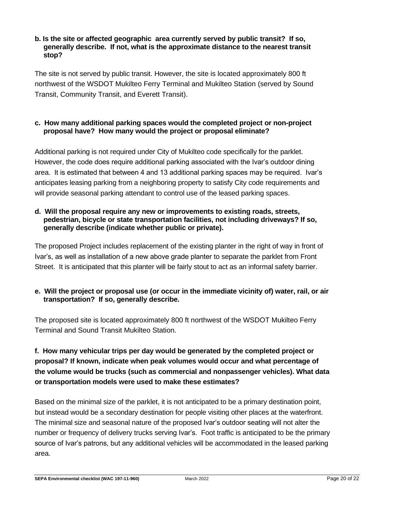#### **b. Is the site or affected geographic area currently served by public transit? If so, generally describe. If not, what is the approximate distance to the nearest transit stop?**

The site is not served by public transit. However, the site is located approximately 800 ft northwest of the WSDOT Mukilteo Ferry Terminal and Mukilteo Station (served by Sound Transit, Community Transit, and Everett Transit).

#### **c. How many additional parking spaces would the completed project or non-project proposal have? How many would the project or proposal eliminate?**

Additional parking is not required under City of Mukilteo code specifically for the parklet. However, the code does require additional parking associated with the Ivar's outdoor dining area. It is estimated that between 4 and 13 additional parking spaces may be required. Ivar's anticipates leasing parking from a neighboring property to satisfy City code requirements and will provide seasonal parking attendant to control use of the leased parking spaces.

#### **d. Will the proposal require any new or improvements to existing roads, streets, pedestrian, bicycle or state transportation facilities, not including driveways? If so, generally describe (indicate whether public or private).**

The proposed Project includes replacement of the existing planter in the right of way in front of Ivar's, as well as installation of a new above grade planter to separate the parklet from Front Street. It is anticipated that this planter will be fairly stout to act as an informal safety barrier.

#### **e. Will the project or proposal use (or occur in the immediate vicinity of) water, rail, or air transportation? If so, generally describe.**

The proposed site is located approximately 800 ft northwest of the WSDOT Mukilteo Ferry Terminal and Sound Transit Mukilteo Station.

## **f. How many vehicular trips per day would be generated by the completed project or proposal? If known, indicate when peak volumes would occur and what percentage of the volume would be trucks (such as commercial and nonpassenger vehicles). What data or transportation models were used to make these estimates?**

Based on the minimal size of the parklet, it is not anticipated to be a primary destination point, but instead would be a secondary destination for people visiting other places at the waterfront. The minimal size and seasonal nature of the proposed Ivar's outdoor seating will not alter the number or frequency of delivery trucks serving Ivar's. Foot traffic is anticipated to be the primary source of Ivar's patrons, but any additional vehicles will be accommodated in the leased parking area.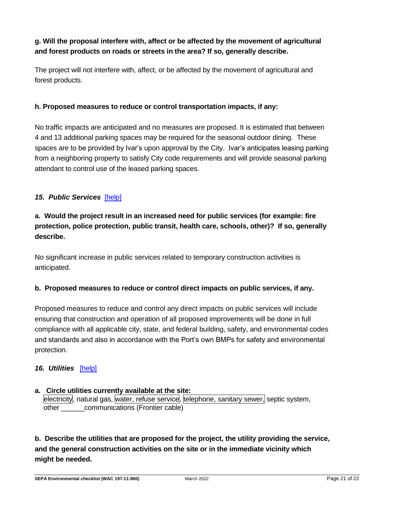## **g. Will the proposal interfere with, affect or be affected by the movement of agricultural and forest products on roads or streets in the area? If so, generally describe.**

The project will not interfere with, affect, or be affected by the movement of agricultural and forest products.

#### **h. Proposed measures to reduce or control transportation impacts, if any:**

No traffic impacts are anticipated and no measures are proposed. It is estimated that between 4 and 13 additional parking spaces may be required for the seasonal outdoor dining. These spaces are to be provided by Ivar's upon approval by the City. Ivar's anticipates leasing parking from a neighboring property to satisfy City code requirements and will provide seasonal parking attendant to control use of the leased parking spaces.

## 15. Public Services [\[help\]](https://ecology.wa.gov/Regulations-Permits/SEPA/Environmental-review/SEPA-guidance/SEPA-checklist-guidance/SEPA-Checklist-Section-B-Environmental-elements/Environmental-elements-15-Public-services)

## **a. Would the project result in an increased need for public services (for example: fire protection, police protection, public transit, health care, schools, other)? If so, generally describe.**

No significant increase in public services related to temporary construction activities is anticipated.

## **b. Proposed measures to reduce or control direct impacts on public services, if any.**

Proposed measures to reduce and control any direct impacts on public services will include ensuring that construction and operation of all proposed improvements will be done in full compliance with all applicable city, state, and federal building, safety, and environmental codes and standards and also in accordance with the Port's own BMPs for safety and environmental protection.

#### *16. Utilities*[\[help\]](https://ecology.wa.gov/Regulations-Permits/SEPA/Environmental-review/SEPA-guidance/SEPA-checklist-guidance/SEPA-Checklist-Section-B-Environmental-elements/Environmental-elements-16-Utilities)

#### **a. Circle utilities currently available at the site:**  electricity, natural gas, water, refuse service, telephone, sanitary sewer, septic system, other communications (Frontier cable)

**b. Describe the utilities that are proposed for the project, the utility providing the service, and the general construction activities on the site or in the immediate vicinity which might be needed.**

**SEPA Environmental checklist (WAC 197-11-960)** March 2022 March 2022 **Page 21 of 22**